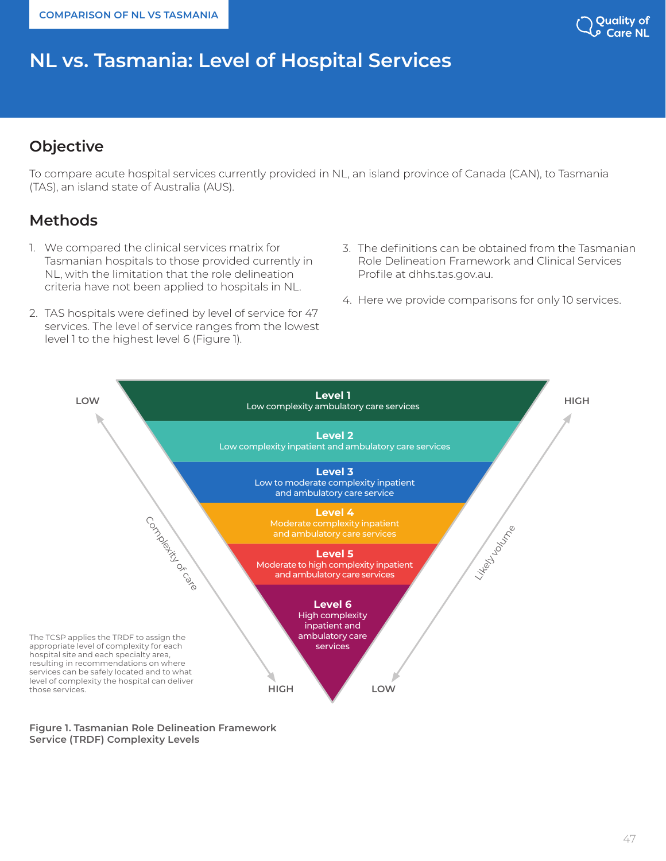**COMPARISON OF NL VS TASMANIA**

# Quality of

# **NL vs. Tasmania: Level of Hospital Services**

# **Objective**

To compare acute hospital services currently provided in NL, an island province of Canada (CAN), to Tasmania (TAS), an island state of Australia (AUS).

# **Methods**

- 1. We compared the clinical services matrix for Tasmanian hospitals to those provided currently in NL, with the limitation that the role delineation criteria have not been applied to hospitals in NL.
- 2. TAS hospitals were defined by level of service for 47 services. The level of service ranges from the lowest level 1 to the highest level 6 (Figure 1).
- 3. The definitions can be obtained from the Tasmanian Role Delineation Framework and Clinical Services Profile at dhhs.tas.gov.au.
- 4. Here we provide comparisons for only 10 services.



**Figure 1. Tasmanian Role Delineation Framework Service (TRDF) Complexity Levels**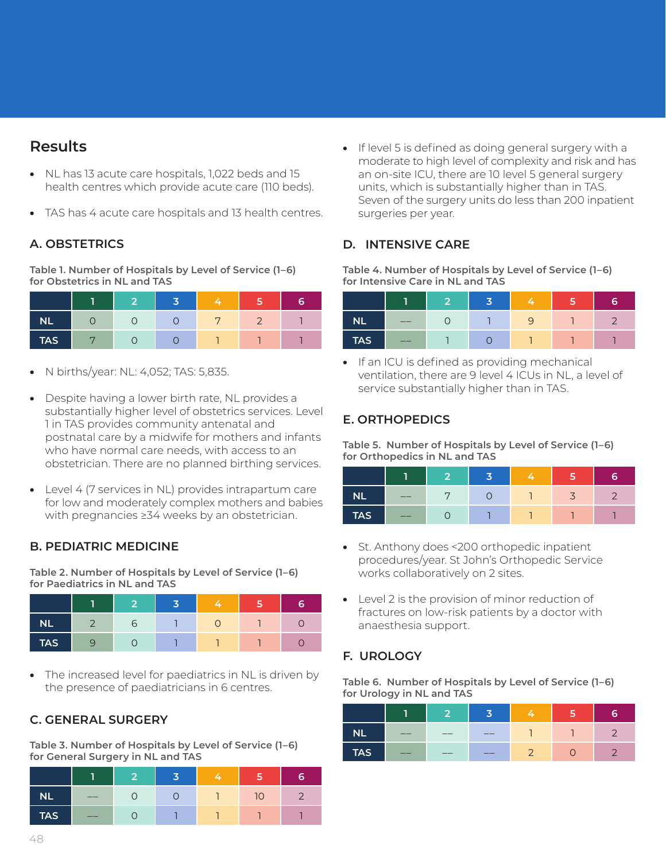## **Results**

- NL has 13 acute care hospitals, 1,022 beds and 15 health centres which provide acute care (110 beds).
- TAS has 4 acute care hospitals and 13 health centres.

## **A. OBSTETRICS**

**Table 1. Number of Hospitals by Level of Service (1–6) for Obstetrics in NL and TAS**

|            | - |  |  |
|------------|---|--|--|
| <b>NL</b>  |   |  |  |
| <b>TAS</b> |   |  |  |

- N births/year: NL: 4,052; TAS: 5,835.
- Despite having a lower birth rate, NL provides a substantially higher level of obstetrics services. Level 1 in TAS provides community antenatal and postnatal care by a midwife for mothers and infants who have normal care needs, with access to an obstetrician. There are no planned birthing services.
- Level 4 (7 services in NL) provides intrapartum care for low and moderately complex mothers and babies with pregnancies ≥34 weeks by an obstetrician.

## **B. PEDIATRIC MEDICINE**

**Table 2. Number of Hospitals by Level of Service (1–6) for Paediatrics in NL and TAS**

|            | œ | $\overline{\phantom{a}}$ |  |  |
|------------|---|--------------------------|--|--|
| <b>NL</b>  |   |                          |  |  |
| <b>TAS</b> |   |                          |  |  |

The increased level for paediatrics in NL is driven by the presence of paediatricians in 6 centres.

## **C. GENERAL SURGERY**

**Table 3. Number of Hospitals by Level of Service (1–6) for General Surgery in NL and TAS**

|            |     | - |  |                 | я |
|------------|-----|---|--|-----------------|---|
| <b>NL</b>  | __  |   |  | 10 <sup>1</sup> |   |
| <b>TAS</b> | ___ |   |  |                 |   |

• If level 5 is defined as doing general surgery with a moderate to high level of complexity and risk and has an on-site ICU, there are 10 level 5 general surgery units, which is substantially higher than in TAS. Seven of the surgery units do less than 200 inpatient surgeries per year.

## **D. INTENSIVE CARE**

**Table 4. Number of Hospitals by Level of Service (1–6) for Intensive Care in NL and TAS**

|            | -  |  |  |  |
|------------|----|--|--|--|
| <b>NL</b>  | __ |  |  |  |
| <b>TAS</b> | __ |  |  |  |

• If an ICU is defined as providing mechanical ventilation, there are 9 level 4 ICUs in NL, a level of service substantially higher than in TAS.

#### **E. ORTHOPEDICS**

**Table 5. Number of Hospitals by Level of Service (1–6) for Orthopedics in NL and TAS**

| <b>NL</b>  | __ | ┍ |  |  |
|------------|----|---|--|--|
| <b>TAS</b> | __ |   |  |  |

- St. Anthony does <200 orthopedic inpatient procedures/year. St John's Orthopedic Service works collaboratively on 2 sites.
- Level 2 is the provision of minor reduction of fractures on low-risk patients by a doctor with anaesthesia support.

## **F. UROLOGY**

**Table 6. Number of Hospitals by Level of Service (1–6) for Urology in NL and TAS**

|            |     | $\overline{\phantom{a}}$ |     |  |  |
|------------|-----|--------------------------|-----|--|--|
| <b>NL</b>  | ___ | __                       | ___ |  |  |
| <b>TAS</b> | ___ | ___                      | ___ |  |  |